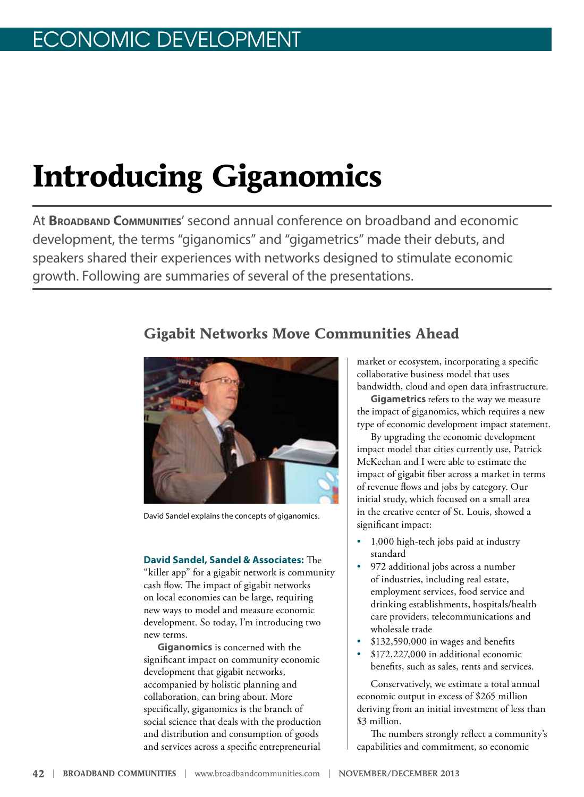# **Introducing Giganomics**

At **Broadband Communities**' second annual conference on broadband and economic development, the terms "giganomics" and "gigametrics" made their debuts, and speakers shared their experiences with networks designed to stimulate economic growth. Following are summaries of several of the presentations.

# **Gigabit Networks Move Communities Ahead**



David Sandel explains the concepts of giganomics.

#### **David Sandel, Sandel & Associates:** The

"killer app" for a gigabit network is community cash flow. The impact of gigabit networks on local economies can be large, requiring new ways to model and measure economic development. So today, I'm introducing two new terms.

**Giganomics** is concerned with the significant impact on community economic development that gigabit networks, accompanied by holistic planning and collaboration, can bring about. More specifically, giganomics is the branch of social science that deals with the production and distribution and consumption of goods and services across a specific entrepreneurial

market or ecosystem, incorporating a specific collaborative business model that uses bandwidth, cloud and open data infrastructure.

**Gigametrics** refers to the way we measure the impact of giganomics, which requires a new type of economic development impact statement.

By upgrading the economic development impact model that cities currently use, Patrick McKeehan and I were able to estimate the impact of gigabit fiber across a market in terms of revenue flows and jobs by category. Our initial study, which focused on a small area in the creative center of St. Louis, showed a significant impact:

- 1,000 high-tech jobs paid at industry standard
- 972 additional jobs across a number of industries, including real estate, employment services, food service and drinking establishments, hospitals/health care providers, telecommunications and wholesale trade
- \$132,590,000 in wages and benefits
- \$172,227,000 in additional economic benefits, such as sales, rents and services.

Conservatively, we estimate a total annual economic output in excess of \$265 million deriving from an initial investment of less than \$3 million.

The numbers strongly reflect a community's capabilities and commitment, so economic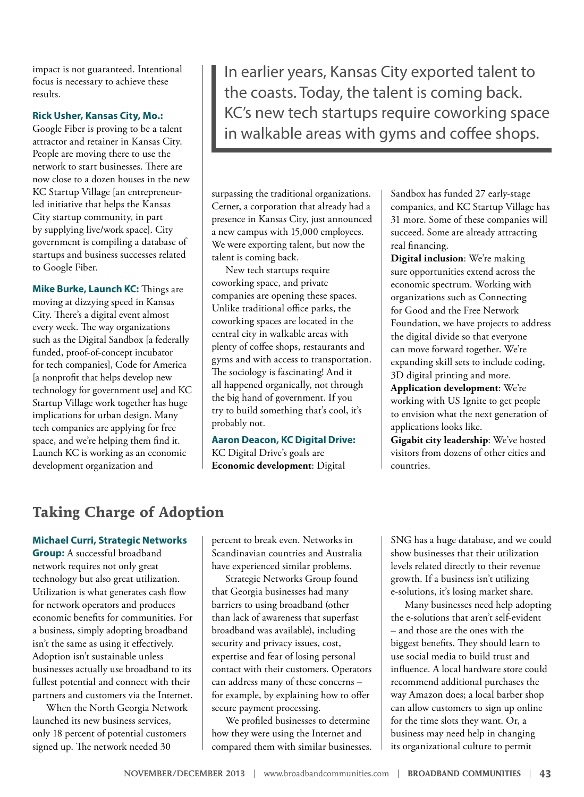impact is not guaranteed. Intentional focus is necessary to achieve these results.

#### **Rick Usher, Kansas City, Mo.:**

Google Fiber is proving to be a talent attractor and retainer in Kansas City. People are moving there to use the network to start businesses. There are now close to a dozen houses in the new KC Startup Village [an entrepreneurled initiative that helps the Kansas City startup community, in part by supplying live/work space]. City government is compiling a database of startups and business successes related to Google Fiber.

**Mike Burke, Launch KC:** Things are moving at dizzying speed in Kansas City. There's a digital event almost every week. The way organizations such as the Digital Sandbox [a federally funded, proof-of-concept incubator for tech companies], Code for America [a nonprofit that helps develop new technology for government use] and KC Startup Village work together has huge implications for urban design. Many tech companies are applying for free space, and we're helping them find it. Launch KC is working as an economic development organization and

In earlier years, Kansas City exported talent to the coasts. Today, the talent is coming back. KC's new tech startups require coworking space in walkable areas with gyms and coffee shops.

surpassing the traditional organizations. Cerner, a corporation that already had a presence in Kansas City, just announced a new campus with 15,000 employees. We were exporting talent, but now the talent is coming back.

New tech startups require coworking space, and private companies are opening these spaces. Unlike traditional office parks, the coworking spaces are located in the central city in walkable areas with plenty of coffee shops, restaurants and gyms and with access to transportation. The sociology is fascinating! And it all happened organically, not through the big hand of government. If you try to build something that's cool, it's probably not.

#### **Aaron Deacon, KC Digital Drive:**

KC Digital Drive's goals are **Economic development**: Digital Sandbox has funded 27 early-stage companies, and KC Startup Village has 31 more. Some of these companies will succeed. Some are already attracting real financing.

**Digital inclusion**: We're making sure opportunities extend across the economic spectrum. Working with organizations such as Connecting for Good and the Free Network Foundation, we have projects to address the digital divide so that everyone can move forward together. We're expanding skill sets to include coding, 3D digital printing and more.

**Application development**: We're working with US Ignite to get people to envision what the next generation of applications looks like.

**Gigabit city leadership**: We've hosted visitors from dozens of other cities and countries.

# **Taking Charge of Adoption**

#### **Michael Curri, Strategic Networks**

**Group:** A successful broadband network requires not only great technology but also great utilization. Utilization is what generates cash flow for network operators and produces economic benefits for communities. For a business, simply adopting broadband isn't the same as using it effectively. Adoption isn't sustainable unless businesses actually use broadband to its fullest potential and connect with their partners and customers via the Internet.

When the North Georgia Network launched its new business services, only 18 percent of potential customers signed up. The network needed 30

percent to break even. Networks in Scandinavian countries and Australia have experienced similar problems.

Strategic Networks Group found that Georgia businesses had many barriers to using broadband (other than lack of awareness that superfast broadband was available), including security and privacy issues, cost, expertise and fear of losing personal contact with their customers. Operators can address many of these concerns – for example, by explaining how to offer secure payment processing.

We profiled businesses to determine how they were using the Internet and compared them with similar businesses. SNG has a huge database, and we could show businesses that their utilization levels related directly to their revenue growth. If a business isn't utilizing e-solutions, it's losing market share.

Many businesses need help adopting the e-solutions that aren't self-evident – and those are the ones with the biggest benefits. They should learn to use social media to build trust and influence. A local hardware store could recommend additional purchases the way Amazon does; a local barber shop can allow customers to sign up online for the time slots they want. Or, a business may need help in changing its organizational culture to permit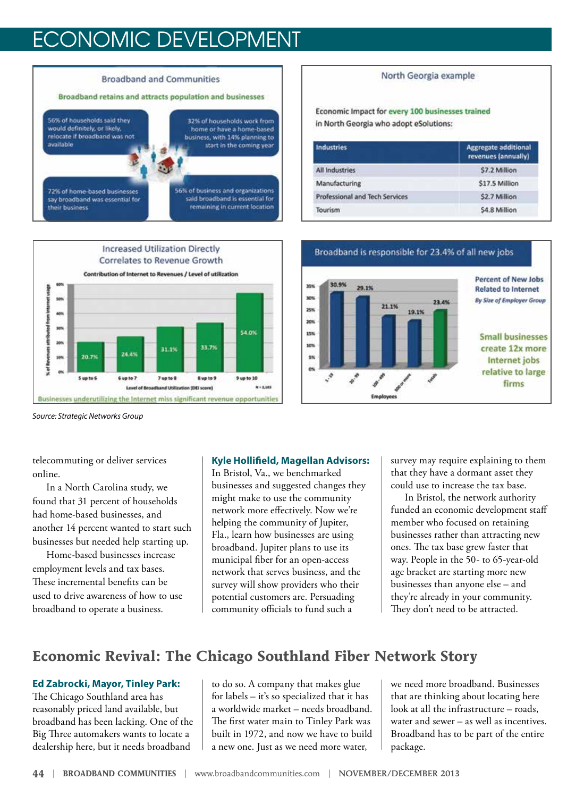# ECONOMIC DEVELOPMENT





#### North Georgia example

Economic Impact for every 100 businesses trained in North Georgia who adopt eSolutions:

| Industries                     | <b>Aggregate additional</b><br>revenues (annually) |
|--------------------------------|----------------------------------------------------|
| <b>All Industries</b>          | \$7.2 Million                                      |
| Manufacturing                  | \$17.5 Million                                     |
| Professional and Tech Services | S2.7 Million                                       |
| Tourism                        | \$4.8 Million                                      |



*Source: Strategic Networks Group*

telecommuting or deliver services online.

In a North Carolina study, we found that 31 percent of households had home-based businesses, and another 14 percent wanted to start such businesses but needed help starting up.

Home-based businesses increase employment levels and tax bases. These incremental benefits can be used to drive awareness of how to use broadband to operate a business.

#### **Kyle Hollifield, Magellan Advisors:**

In Bristol, Va., we benchmarked businesses and suggested changes they might make to use the community network more effectively. Now we're helping the community of Jupiter, Fla., learn how businesses are using broadband. Jupiter plans to use its municipal fiber for an open-access network that serves business, and the survey will show providers who their potential customers are. Persuading community officials to fund such a

survey may require explaining to them that they have a dormant asset they could use to increase the tax base.

In Bristol, the network authority funded an economic development staff member who focused on retaining businesses rather than attracting new ones. The tax base grew faster that way. People in the 50- to 65-year-old age bracket are starting more new businesses than anyone else – and they're already in your community. They don't need to be attracted.

# **Economic Revival: The Chicago Southland Fiber Network Story**

#### **Ed Zabrocki, Mayor, Tinley Park:**

The Chicago Southland area has reasonably priced land available, but broadband has been lacking. One of the Big Three automakers wants to locate a dealership here, but it needs broadband

to do so. A company that makes glue for labels – it's so specialized that it has a worldwide market – needs broadband. The first water main to Tinley Park was built in 1972, and now we have to build a new one. Just as we need more water,

we need more broadband. Businesses that are thinking about locating here look at all the infrastructure – roads, water and sewer – as well as incentives. Broadband has to be part of the entire package.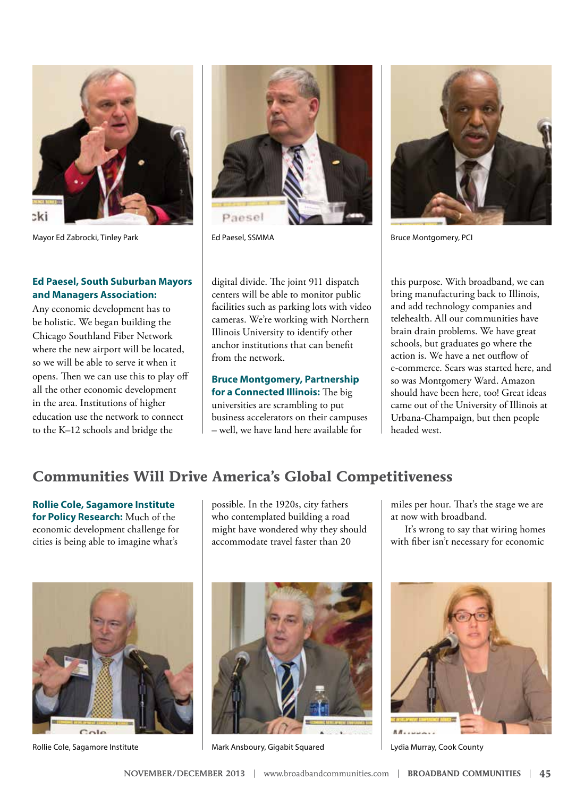

Mayor Ed Zabrocki, Tinley Park **Edge Communist Edge Act Act Act Paesel**, SSMMA Bruce Montgomery, PCI

#### **Ed Paesel, South Suburban Mayors and Managers Association:**

Any economic development has to be holistic. We began building the Chicago Southland Fiber Network where the new airport will be located, so we will be able to serve it when it opens. Then we can use this to play off all the other economic development in the area. Institutions of higher education use the network to connect to the K–12 schools and bridge the



digital divide. The joint 911 dispatch centers will be able to monitor public facilities such as parking lots with video cameras. We're working with Northern Illinois University to identify other anchor institutions that can benefit from the network.

### **Bruce Montgomery, Partnership for a Connected Illinois:** The big universities are scrambling to put

business accelerators on their campuses – well, we have land here available for



this purpose. With broadband, we can bring manufacturing back to Illinois, and add technology companies and telehealth. All our communities have brain drain problems. We have great schools, but graduates go where the action is. We have a net outflow of e-commerce. Sears was started here, and so was Montgomery Ward. Amazon should have been here, too! Great ideas came out of the University of Illinois at Urbana-Champaign, but then people headed west.

# **Communities Will Drive America's Global Competitiveness**

**Rollie Cole, Sagamore Institute for Policy Research:** Much of the economic development challenge for cities is being able to imagine what's

possible. In the 1920s, city fathers who contemplated building a road might have wondered why they should accommodate travel faster than 20

miles per hour. That's the stage we are at now with broadband.

It's wrong to say that wiring homes with fiber isn't necessary for economic





Rollie Cole, Sagamore Institute Mark Ansboury, Gigabit Squared Lydia Murray, Cook County

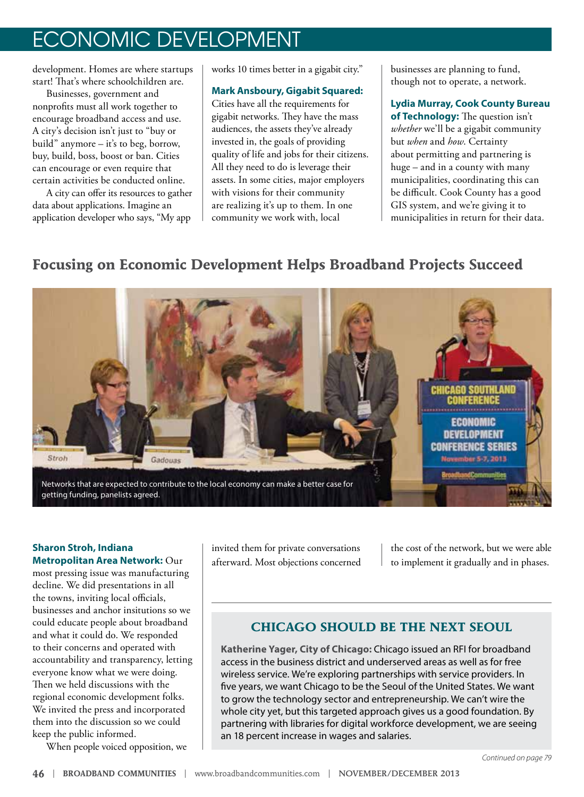# ECONOMIC DEVELOPMENT

development. Homes are where startups start! That's where schoolchildren are.

Businesses, government and nonprofits must all work together to encourage broadband access and use. A city's decision isn't just to "buy or build" anymore – it's to beg, borrow, buy, build, boss, boost or ban. Cities can encourage or even require that certain activities be conducted online.

A city can offer its resources to gather data about applications. Imagine an application developer who says, "My app

works 10 times better in a gigabit city."

#### **Mark Ansboury, Gigabit Squared:**

Cities have all the requirements for gigabit networks. They have the mass audiences, the assets they've already invested in, the goals of providing quality of life and jobs for their citizens. All they need to do is leverage their assets. In some cities, major employers with visions for their community are realizing it's up to them. In one community we work with, local

businesses are planning to fund, though not to operate, a network.

**Lydia Murray, Cook County Bureau of Technology:** The question isn't *whether* we'll be a gigabit community but *when* and *how*. Certainty about permitting and partnering is huge – and in a county with many municipalities, coordinating this can be difficult. Cook County has a good GIS system, and we're giving it to municipalities in return for their data.

# **Focusing on Economic Development Helps Broadband Projects Succeed**



#### **Sharon Stroh, Indiana Metropolitan Area Network:** Our

most pressing issue was manufacturing decline. We did presentations in all the towns, inviting local officials, businesses and anchor insitutions so we could educate people about broadband and what it could do. We responded to their concerns and operated with accountability and transparency, letting everyone know what we were doing. Then we held discussions with the regional economic development folks. We invited the press and incorporated them into the discussion so we could keep the public informed.

When people voiced opposition, we

invited them for private conversations afterward. Most objections concerned the cost of the network, but we were able to implement it gradually and in phases.

# **CHICAGO SHOULD BE THE NEXT SEOUL**

**Katherine Yager, City of Chicago:** Chicago issued an RFI for broadband access in the business district and underserved areas as well as for free wireless service. We're exploring partnerships with service providers. In five years, we want Chicago to be the Seoul of the United States. We want to grow the technology sector and entrepreneurship. We can't wire the whole city yet, but this targeted approach gives us a good foundation. By partnering with libraries for digital workforce development, we are seeing an 18 percent increase in wages and salaries.